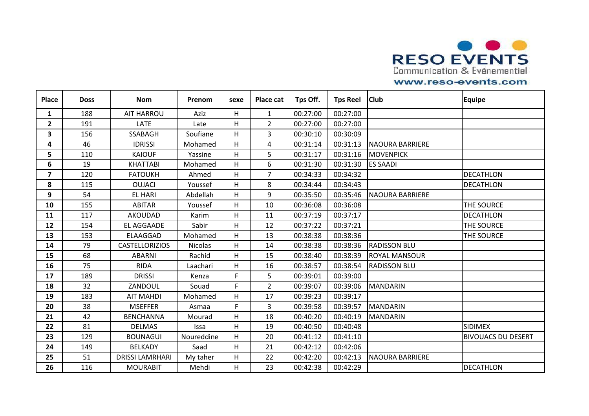

| <b>Place</b>            | <b>Doss</b> | <b>Nom</b>             | Prenom     | sexe | Place cat      | Tps Off. | <b>Tps Reel</b> | <b>Club</b>            | <b>Equipe</b>             |
|-------------------------|-------------|------------------------|------------|------|----------------|----------|-----------------|------------------------|---------------------------|
| 1                       | 188         | <b>AIT HARROU</b>      | Aziz       | Η    | $\mathbf{1}$   | 00:27:00 | 00:27:00        |                        |                           |
| $\mathbf{2}$            | 191         | LATE                   | Late       | H.   | $\overline{2}$ | 00:27:00 | 00:27:00        |                        |                           |
| 3                       | 156         | <b>SSABAGH</b>         | Soufiane   | н    | 3              | 00:30:10 | 00:30:09        |                        |                           |
| 4                       | 46          | <b>IDRISSI</b>         | Mohamed    | Η    | 4              | 00:31:14 | 00:31:13        | <b>NAOURA BARRIERE</b> |                           |
| 5                       | 110         | <b>KAIOUF</b>          | Yassine    | H    | 5              | 00:31:17 | 00:31:16        | <b>MOVENPICK</b>       |                           |
| 6                       | 19          | <b>KHATTABI</b>        | Mohamed    | H    | 6              | 00:31:30 | 00:31:30        | <b>ES SAADI</b>        |                           |
| $\overline{\mathbf{z}}$ | 120         | <b>FATOUKH</b>         | Ahmed      | н    | $\overline{7}$ | 00:34:33 | 00:34:32        |                        | <b>DECATHLON</b>          |
| 8                       | 115         | <b>OUJACI</b>          | Youssef    | Η    | 8              | 00:34:44 | 00:34:43        |                        | <b>DECATHLON</b>          |
| 9                       | 54          | <b>EL HARI</b>         | Abdellah   | Η    | 9              | 00:35:50 | 00:35:46        | <b>NAOURA BARRIERE</b> |                           |
| 10                      | 155         | <b>ABITAR</b>          | Youssef    | Η    | 10             | 00:36:08 | 00:36:08        |                        | THE SOURCE                |
| 11                      | 117         | AKOUDAD                | Karim      | Η    | 11             | 00:37:19 | 00:37:17        |                        | <b>DECATHLON</b>          |
| 12                      | 154         | EL AGGAADE             | Sabir      | H.   | 12             | 00:37:22 | 00:37:21        |                        | THE SOURCE                |
| 13                      | 153         | ELAAGGAD               | Mohamed    | Η    | 13             | 00:38:38 | 00:38:36        |                        | THE SOURCE                |
| 14                      | 79          | <b>CASTELLORIZIOS</b>  | Nicolas    | Η    | 14             | 00:38:38 | 00:38:36        | <b>RADISSON BLU</b>    |                           |
| 15                      | 68          | <b>ABARNI</b>          | Rachid     | H.   | 15             | 00:38:40 | 00:38:39        | <b>ROYAL MANSOUR</b>   |                           |
| 16                      | 75          | <b>RIDA</b>            | Laachari   | Η    | 16             | 00:38:57 | 00:38:54        | <b>RADISSON BLU</b>    |                           |
| 17                      | 189         | <b>DRISSI</b>          | Kenza      | F.   | 5              | 00:39:01 | 00:39:00        |                        |                           |
| 18                      | 32          | ZANDOUL                | Souad      | F.   | $\overline{2}$ | 00:39:07 | 00:39:06        | <b>MANDARIN</b>        |                           |
| 19                      | 183         | <b>AIT MAHDI</b>       | Mohamed    | н    | 17             | 00:39:23 | 00:39:17        |                        |                           |
| 20                      | 38          | <b>MSEFFER</b>         | Asmaa      | F.   | 3              | 00:39:58 | 00:39:57        | <b>MANDARIN</b>        |                           |
| 21                      | 42          | <b>BENCHANNA</b>       | Mourad     | Η    | 18             | 00:40:20 | 00:40:19        | <b>MANDARIN</b>        |                           |
| 22                      | 81          | <b>DELMAS</b>          | Issa       | H    | 19             | 00:40:50 | 00:40:48        |                        | <b>SIDIMEX</b>            |
| 23                      | 129         | <b>BOUNAGUI</b>        | Noureddine | Η    | 20             | 00:41:12 | 00:41:10        |                        | <b>BIVOUACS DU DESERT</b> |
| 24                      | 149         | <b>BELKADY</b>         | Saad       | Η    | 21             | 00:42:12 | 00:42:06        |                        |                           |
| 25                      | 51          | <b>DRISSI LAMRHARI</b> | My taher   | H    | 22             | 00:42:20 | 00:42:13        | <b>NAOURA BARRIERE</b> |                           |
| 26                      | 116         | <b>MOURABIT</b>        | Mehdi      | н    | 23             | 00:42:38 | 00:42:29        |                        | <b>DECATHLON</b>          |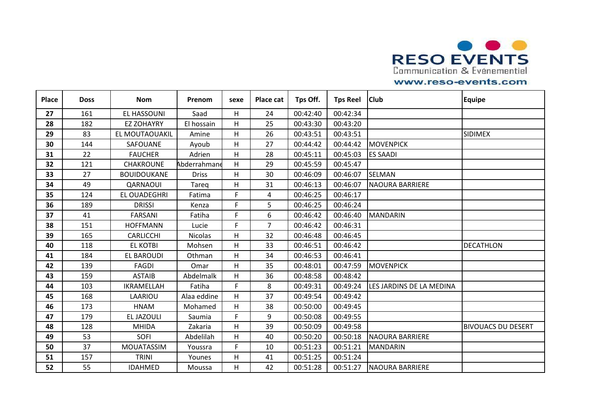

| <b>Place</b> | <b>Doss</b> | <b>Nom</b>         | Prenom         | sexe | Place cat      | Tps Off. | <b>Tps Reel</b> | <b>Club</b>              | <b>Equipe</b>             |
|--------------|-------------|--------------------|----------------|------|----------------|----------|-----------------|--------------------------|---------------------------|
| 27           | 161         | EL HASSOUNI        | Saad           | Η    | 24             | 00:42:40 | 00:42:34        |                          |                           |
| 28           | 182         | <b>EZ ZOHAYRY</b>  | El hossain     | H.   | 25             | 00:43:30 | 00:43:20        |                          |                           |
| 29           | 83          | EL MOUTAOUAKIL     | Amine          | Η    | 26             | 00:43:51 | 00:43:51        |                          | <b>SIDIMEX</b>            |
| 30           | 144         | SAFOUANE           | Ayoub          | Η    | 27             | 00:44:42 | 00:44:42        | <b>MOVENPICK</b>         |                           |
| 31           | 22          | <b>FAUCHER</b>     | Adrien         | H    | 28             | 00:45:11 | 00:45:03        | <b>ES SAADI</b>          |                           |
| 32           | 121         | <b>CHAKROUNE</b>   | Abderrahmane   | H    | 29             | 00:45:59 | 00:45:47        |                          |                           |
| 33           | 27          | <b>BOUIDOUKANE</b> | <b>Driss</b>   | Η    | 30             | 00:46:09 | 00:46:07        | <b>SELMAN</b>            |                           |
| 34           | 49          | QARNAOUI           | Tareg          | Η    | 31             | 00:46:13 | 00:46:07        | <b>NAOURA BARRIERE</b>   |                           |
| 35           | 124         | EL OUADEGHRI       | Fatima         | F.   | 4              | 00:46:25 | 00:46:17        |                          |                           |
| 36           | 189         | <b>DRISSI</b>      | Kenza          | F.   | 5              | 00:46:25 | 00:46:24        |                          |                           |
| 37           | 41          | <b>FARSANI</b>     | Fatiha         | F.   | 6              | 00:46:42 | 00:46:40        | <b>MANDARIN</b>          |                           |
| 38           | 151         | <b>HOFFMANN</b>    | Lucie          | F.   | $\overline{7}$ | 00:46:42 | 00:46:31        |                          |                           |
| 39           | 165         | <b>CARLICCHI</b>   | <b>Nicolas</b> | Η    | 32             | 00:46:48 | 00:46:45        |                          |                           |
| 40           | 118         | <b>EL KOTBI</b>    | Mohsen         | Η    | 33             | 00:46:51 | 00:46:42        |                          | <b>DECATHLON</b>          |
| 41           | 184         | <b>EL BAROUDI</b>  | Othman         | H.   | 34             | 00:46:53 | 00:46:41        |                          |                           |
| 42           | 139         | <b>FAGDI</b>       | Omar           | н    | 35             | 00:48:01 | 00:47:59        | <b>MOVENPICK</b>         |                           |
| 43           | 159         | <b>ASTAIB</b>      | Abdelmalk      | Η    | 36             | 00:48:58 | 00:48:42        |                          |                           |
| 44           | 103         | IKRAMELLAH         | Fatiha         | F.   | 8              | 00:49:31 | 00:49:24        | LES JARDINS DE LA MEDINA |                           |
| 45           | 168         | LAARIOU            | Alaa eddine    | H.   | 37             | 00:49:54 | 00:49:42        |                          |                           |
| 46           | 173         | <b>HNAM</b>        | Mohamed        | н    | 38             | 00:50:00 | 00:49:45        |                          |                           |
| 47           | 179         | EL JAZOULI         | Saumia         | F.   | 9              | 00:50:08 | 00:49:55        |                          |                           |
| 48           | 128         | <b>MHIDA</b>       | Zakaria        | H    | 39             | 00:50:09 | 00:49:58        |                          | <b>BIVOUACS DU DESERT</b> |
| 49           | 53          | <b>SOFI</b>        | Abdelilah      | н    | 40             | 00:50:20 | 00:50:18        | <b>NAOURA BARRIERE</b>   |                           |
| 50           | 37          | <b>MOUATASSIM</b>  | Youssra        | F.   | 10             | 00:51:23 | 00:51:21        | <b>MANDARIN</b>          |                           |
| 51           | 157         | <b>TRINI</b>       | Younes         | H    | 41             | 00:51:25 | 00:51:24        |                          |                           |
| 52           | 55          | <b>IDAHMED</b>     | Moussa         | н    | 42             | 00:51:28 | 00:51:27        | <b>NAOURA BARRIERE</b>   |                           |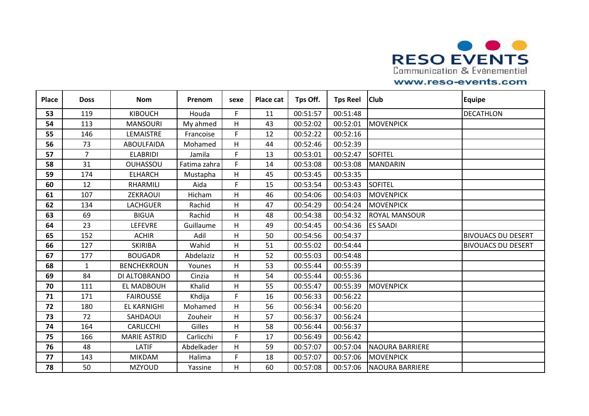

| <b>Place</b> | <b>Doss</b>    | <b>Nom</b>          | Prenom       | sexe | Place cat | Tps Off. | <b>Tps Reel</b> | <b>Club</b>            | <b>Equipe</b>             |
|--------------|----------------|---------------------|--------------|------|-----------|----------|-----------------|------------------------|---------------------------|
| 53           | 119            | <b>KIBOUCH</b>      | Houda        | F.   | 11        | 00:51:57 | 00:51:48        |                        | <b>DECATHLON</b>          |
| 54           | 113            | <b>MANSOURI</b>     | My ahmed     | H.   | 43        | 00:52:02 | 00:52:01        | <b>MOVENPICK</b>       |                           |
| 55           | 146            | LEMAISTRE           | Francoise    | F.   | 12        | 00:52:22 | 00:52:16        |                        |                           |
| 56           | 73             | <b>ABOULFAIDA</b>   | Mohamed      | Η    | 44        | 00:52:46 | 00:52:39        |                        |                           |
| 57           | $\overline{7}$ | <b>ELABRIDI</b>     | Jamila       | F.   | 13        | 00:53:01 | 00:52:47        | <b>SOFITEL</b>         |                           |
| 58           | 31             | <b>OUHASSOU</b>     | Fatima zahra | F.   | 14        | 00:53:08 | 00:53:08        | MANDARIN               |                           |
| 59           | 174            | <b>ELHARCH</b>      | Mustapha     | Η    | 45        | 00:53:45 | 00:53:35        |                        |                           |
| 60           | 12             | RHARMILI            | Aida         | F.   | 15        | 00:53:54 | 00:53:43        | <b>SOFITEL</b>         |                           |
| 61           | 107            | ZEKRAOUI            | Hicham       | Η    | 46        | 00:54:06 | 00:54:03        | <b>MOVENPICK</b>       |                           |
| 62           | 134            | <b>LACHGUER</b>     | Rachid       | Η    | 47        | 00:54:29 | 00:54:24        | <b>MOVENPICK</b>       |                           |
| 63           | 69             | <b>BIGUA</b>        | Rachid       | Η    | 48        | 00:54:38 | 00:54:32        | <b>ROYAL MANSOUR</b>   |                           |
| 64           | 23             | <b>LEFEVRE</b>      | Guillaume    | H.   | 49        | 00:54:45 | 00:54:36        | <b>ES SAADI</b>        |                           |
| 65           | 152            | <b>ACHIR</b>        | Adil         | Η    | 50        | 00:54:56 | 00:54:37        |                        | <b>BIVOUACS DU DESERT</b> |
| 66           | 127            | <b>SKIRIBA</b>      | Wahid        | Η    | 51        | 00:55:02 | 00:54:44        |                        | <b>BIVOUACS DU DESERT</b> |
| 67           | 177            | <b>BOUGADR</b>      | Abdelaziz    | H.   | 52        | 00:55:03 | 00:54:48        |                        |                           |
| 68           | $\mathbf{1}$   | <b>BENCHEKROUN</b>  | Younes       | Η    | 53        | 00:55:44 | 00:55:39        |                        |                           |
| 69           | 84             | DI ALTOBRANDO       | Cinzia       | Η    | 54        | 00:55:44 | 00:55:36        |                        |                           |
| 70           | 111            | EL MADBOUH          | Khalid       | Η    | 55        | 00:55:47 | 00:55:39        | <b>MOVENPICK</b>       |                           |
| 71           | 171            | <b>FAIROUSSE</b>    | Khdija       | F.   | 16        | 00:56:33 | 00:56:22        |                        |                           |
| 72           | 180            | <b>EL KARNIGHI</b>  | Mohamed      | Η    | 56        | 00:56:34 | 00:56:20        |                        |                           |
| 73           | 72             | SAHDAOUI            | Zouheir      | H    | 57        | 00:56:37 | 00:56:24        |                        |                           |
| 74           | 164            | CARLICCHI           | Gilles       | H    | 58        | 00:56:44 | 00:56:37        |                        |                           |
| 75           | 166            | <b>MARIE ASTRID</b> | Carlicchi    | F.   | 17        | 00:56:49 | 00:56:42        |                        |                           |
| 76           | 48             | LATIF               | Abdelkader   | Η    | 59        | 00:57:07 | 00:57:04        | <b>NAOURA BARRIERE</b> |                           |
| 77           | 143            | <b>MIKDAM</b>       | Halima       | F.   | 18        | 00:57:07 | 00:57:06        | <b>MOVENPICK</b>       |                           |
| 78           | 50             | <b>MZYOUD</b>       | Yassine      | Η    | 60        | 00:57:08 | 00:57:06        | <b>NAOURA BARRIERE</b> |                           |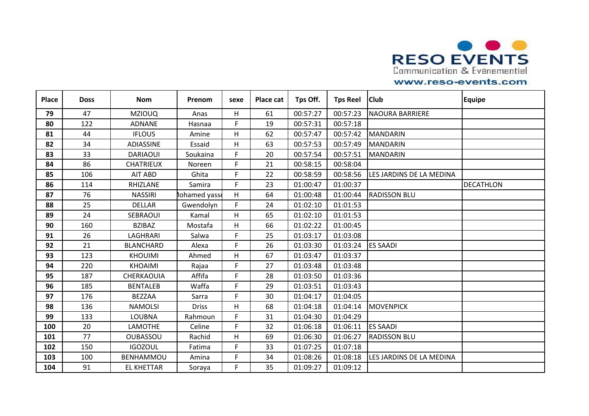

| <b>Place</b> | <b>Doss</b> | <b>Nom</b>        | Prenom       | sexe | Place cat | Tps Off. | <b>Tps Reel</b> | <b>Club</b>              | <b>Equipe</b>    |
|--------------|-------------|-------------------|--------------|------|-----------|----------|-----------------|--------------------------|------------------|
| 79           | 47          | <b>MZIOUQ</b>     | Anas         | Η    | 61        | 00:57:27 | 00:57:23        | <b>NAOURA BARRIERE</b>   |                  |
| 80           | 122         | <b>ADNANE</b>     | Hasnaa       | F.   | 19        | 00:57:31 | 00:57:18        |                          |                  |
| 81           | 44          | <b>IFLOUS</b>     | Amine        | Η    | 62        | 00:57:47 | 00:57:42        | <b>MANDARIN</b>          |                  |
| 82           | 34          | ADIASSINE         | Essaid       | Η    | 63        | 00:57:53 | 00:57:49        | <b>MANDARIN</b>          |                  |
| 83           | 33          | <b>DARIAOUI</b>   | Soukaina     | F.   | 20        | 00:57:54 | 00:57:51        | <b>MANDARIN</b>          |                  |
| 84           | 86          | <b>CHATRIEUX</b>  | Noreen       | F.   | 21        | 00:58:15 | 00:58:04        |                          |                  |
| 85           | 106         | AIT ABD           | Ghita        | F.   | 22        | 00:58:59 | 00:58:56        | LES JARDINS DE LA MEDINA |                  |
| 86           | 114         | RHIZLANE          | Samira       | F.   | 23        | 01:00:47 | 01:00:37        |                          | <b>DECATHLON</b> |
| 87           | 76          | <b>NASSIRI</b>    | lohamed yass | H    | 64        | 01:00:48 | 01:00:44        | <b>RADISSON BLU</b>      |                  |
| 88           | 25          | <b>DELLAR</b>     | Gwendolyn    | F.   | 24        | 01:02:10 | 01:01:53        |                          |                  |
| 89           | 24          | SEBRAOUI          | Kamal        | Η    | 65        | 01:02:10 | 01:01:53        |                          |                  |
| 90           | 160         | <b>BZIBAZ</b>     | Mostafa      | H    | 66        | 01:02:22 | 01:00:45        |                          |                  |
| 91           | 26          | LAGHRARI          | Salwa        | F.   | 25        | 01:03:17 | 01:03:08        |                          |                  |
| 92           | 21          | <b>BLANCHARD</b>  | Alexa        | F.   | 26        | 01:03:30 | 01:03:24        | <b>ES SAADI</b>          |                  |
| 93           | 123         | <b>KHOUIMI</b>    | Ahmed        | H    | 67        | 01:03:47 | 01:03:37        |                          |                  |
| 94           | 220         | <b>KHOAIMI</b>    | Rajaa        | F.   | 27        | 01:03:48 | 01:03:48        |                          |                  |
| 95           | 187         | CHERKAOUIA        | Affifa       | F.   | 28        | 01:03:50 | 01:03:36        |                          |                  |
| 96           | 185         | <b>BENTALEB</b>   | Waffa        | F.   | 29        | 01:03:51 | 01:03:43        |                          |                  |
| 97           | 176         | <b>BEZZAA</b>     | Sarra        | F.   | 30        | 01:04:17 | 01:04:05        |                          |                  |
| 98           | 136         | <b>NAMOLSI</b>    | <b>Driss</b> | Η    | 68        | 01:04:18 | 01:04:14        | <b>MOVENPICK</b>         |                  |
| 99           | 133         | <b>LOUBNA</b>     | Rahmoun      | F.   | 31        | 01:04:30 | 01:04:29        |                          |                  |
| 100          | 20          | LAMOTHE           | Celine       | F.   | 32        | 01:06:18 | 01:06:11        | <b>ES SAADI</b>          |                  |
| 101          | 77          | <b>OUBASSOU</b>   | Rachid       | н    | 69        | 01:06:30 | 01:06:27        | <b>RADISSON BLU</b>      |                  |
| 102          | 150         | <b>IGOZOUL</b>    | Fatima       | F.   | 33        | 01:07:25 | 01:07:18        |                          |                  |
| 103          | 100         | <b>BENHAMMOU</b>  | Amina        | F.   | 34        | 01:08:26 | 01:08:18        | LES JARDINS DE LA MEDINA |                  |
| 104          | 91          | <b>EL KHETTAR</b> | Soraya       | F.   | 35        | 01:09:27 | 01:09:12        |                          |                  |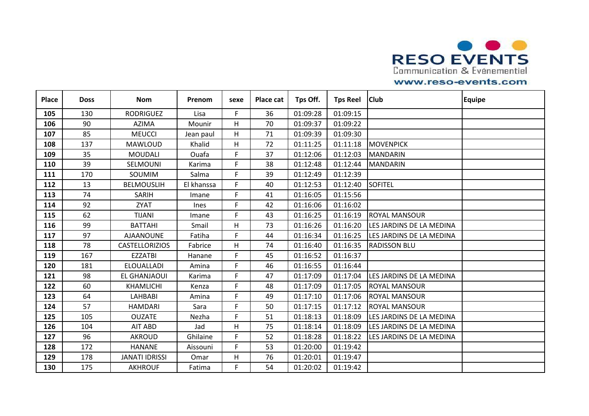

| <b>Place</b> | <b>Doss</b> | <b>Nom</b>            | Prenom      | sexe | Place cat | Tps Off. | <b>Tps Reel</b> | <b>Club</b>              | <b>Equipe</b> |
|--------------|-------------|-----------------------|-------------|------|-----------|----------|-----------------|--------------------------|---------------|
| 105          | 130         | <b>RODRIGUEZ</b>      | Lisa        | F.   | 36        | 01:09:28 | 01:09:15        |                          |               |
| 106          | 90          | <b>AZIMA</b>          | Mounir      | H.   | 70        | 01:09:37 | 01:09:22        |                          |               |
| 107          | 85          | <b>MEUCCI</b>         | Jean paul   | H    | 71        | 01:09:39 | 01:09:30        |                          |               |
| 108          | 137         | <b>MAWLOUD</b>        | Khalid      | Η    | 72        | 01:11:25 | 01:11:18        | <b>MOVENPICK</b>         |               |
| 109          | 35          | <b>MOUDALI</b>        | Ouafa       | F.   | 37        | 01:12:06 | 01:12:03        | <b>MANDARIN</b>          |               |
| 110          | 39          | SELMOUNI              | Karima      | F.   | 38        | 01:12:48 | 01:12:44        | <b>MANDARIN</b>          |               |
| 111          | 170         | SOUMIM                | Salma       | F.   | 39        | 01:12:49 | 01:12:39        |                          |               |
| 112          | 13          | <b>BELMOUSLIH</b>     | El khanssa  | F.   | 40        | 01:12:53 | 01:12:40        | <b>SOFITEL</b>           |               |
| 113          | 74          | SARIH                 | Imane       | F.   | 41        | 01:16:05 | 01:15:56        |                          |               |
| 114          | 92          | <b>ZYAT</b>           | <b>Ines</b> | F.   | 42        | 01:16:06 | 01:16:02        |                          |               |
| 115          | 62          | <b>TIJANI</b>         | Imane       | F.   | 43        | 01:16:25 | 01:16:19        | ROYAL MANSOUR            |               |
| 116          | 99          | <b>BATTAHI</b>        | Smail       | H    | 73        | 01:16:26 | 01:16:20        | LES JARDINS DE LA MEDINA |               |
| 117          | 97          | <b>AJAANOUNE</b>      | Fatiha      | F.   | 44        | 01:16:34 | 01:16:25        | LES JARDINS DE LA MEDINA |               |
| 118          | 78          | <b>CASTELLORIZIOS</b> | Fabrice     | Η    | 74        | 01:16:40 | 01:16:35        | <b>RADISSON BLU</b>      |               |
| 119          | 167         | <b>EZZATBI</b>        | Hanane      | F.   | 45        | 01:16:52 | 01:16:37        |                          |               |
| 120          | 181         | ELOUALLADI            | Amina       | F.   | 46        | 01:16:55 | 01:16:44        |                          |               |
| 121          | 98          | <b>EL GHANJAOUI</b>   | Karima      | F.   | 47        | 01:17:09 | 01:17:04        | LES JARDINS DE LA MEDINA |               |
| 122          | 60          | <b>KHAMLICHI</b>      | Kenza       | F.   | 48        | 01:17:09 | 01:17:05        | <b>ROYAL MANSOUR</b>     |               |
| 123          | 64          | <b>LAHBABI</b>        | Amina       | F.   | 49        | 01:17:10 | 01:17:06        | <b>ROYAL MANSOUR</b>     |               |
| 124          | 57          | <b>HAMDARI</b>        | Sara        | F.   | 50        | 01:17:15 | 01:17:12        | <b>ROYAL MANSOUR</b>     |               |
| 125          | 105         | <b>OUZATE</b>         | Nezha       | F.   | 51        | 01:18:13 | 01:18:09        | LES JARDINS DE LA MEDINA |               |
| 126          | 104         | AIT ABD               | Jad         | H    | 75        | 01:18:14 | 01:18:09        | LES JARDINS DE LA MEDINA |               |
| 127          | 96          | <b>AKROUD</b>         | Ghilaine    | F.   | 52        | 01:18:28 | 01:18:22        | LES JARDINS DE LA MEDINA |               |
| 128          | 172         | <b>HANANE</b>         | Aissouni    | F.   | 53        | 01:20:00 | 01:19:42        |                          |               |
| 129          | 178         | <b>JANATI IDRISSI</b> | Omar        | H    | 76        | 01:20:01 | 01:19:47        |                          |               |
| 130          | 175         | <b>AKHROUF</b>        | Fatima      | F.   | 54        | 01:20:02 | 01:19:42        |                          |               |